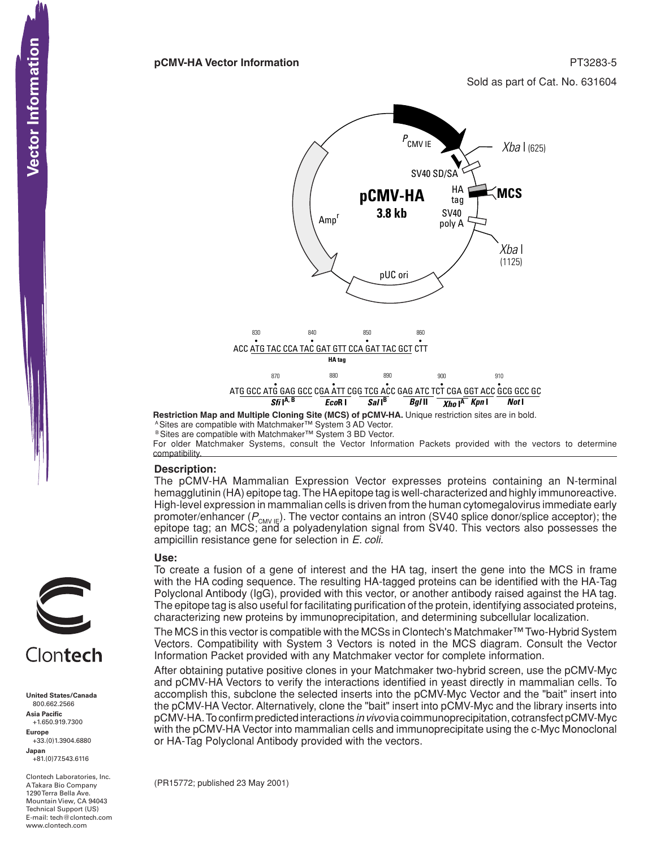Sold as part of Cat. No. 631604



**Restriction Map and Multiple Cloning Site (MCS) of pCMV-HA.** Unique restriction sites are in bold. <sup>A</sup> Sites are compatible with Matchmaker™ System 3 AD Vector.

B Sites are compatible with Matchmaker™ System 3 BD Vector.

For older Matchmaker Systems, consult the Vector Information Packets provided with the vectors to determine compatibility.

### **Description:**

The pCMV-HA Mammalian Expression Vector expresses proteins containing an N-terminal hemagglutinin (HA) epitope tag. The HA epitope tag is well-characterized and highly immunoreactive. High-level expression in mammalian cells is driven from the human cytomegalovirus immediate early promoter/enhancer ( $P_{\text{CMV IE}}$ ). The vector contains an intron (SV40 splice donor/splice acceptor); the epitope tag; an MCS; and a polyadenylation signal from SV40. This vectors also possesses the ampicillin resistance gene for selection in *E. coli.*

### **Use:**

To create a fusion of a gene of interest and the HA tag, insert the gene into the MCS in frame with the HA coding sequence. The resulting HA-tagged proteins can be identified with the HA-Tag Polyclonal Antibody (IgG), provided with this vector, or another antibody raised against the HA tag. The epitope tag is also useful for facilitating purification of the protein, identifying associated proteins, characterizing new proteins by immunoprecipitation, and determining subcellular localization.

The MCS in this vector is compatible with the MCSs in Clontech's Matchmaker™Two-Hybrid System Vectors. Compatibility with System 3 Vectors is noted in the MCS diagram. Consult the Vector Information Packet provided with any Matchmaker vector for complete information.

After obtaining putative positive clones in your Matchmaker two-hybrid screen, use the pCMV-Myc and pCMV-HA Vectors to verify the interactions identified in yeast directly in mammalian cells. To accomplish this, subclone the selected inserts into the pCMV-Myc Vector and the "bait" insert into the pCMV-HA Vector. Alternatively, clone the "bait" insert into pCMV-Myc and the library inserts into pCMV-HA.Toconfirmpredictedinteractions *in vivo*viacoimmunoprecipitation,cotransfectpCMV-Myc with the pCMV-HA Vector into mammalian cells and immunoprecipitate using the c-Myc Monoclonal or HA-Tag Polyclonal Antibody provided with the vectors.

(PR15772; published 23 May 2001) 



Vector Information

**United States/Canada** 800.662.2566 **Asia Pacific** +1.650.919.7300 **Europe** +33.(0)1.3904.6880

**Japan** +81.(0)77.543.6116

Clontech Laboratories, Inc. A Takara Bio Company 1290 Terra Bella Ave. Mountain View, CA 94043 Technical Support (US) E-mail: tech@clontech.com<br>www.clontech.com